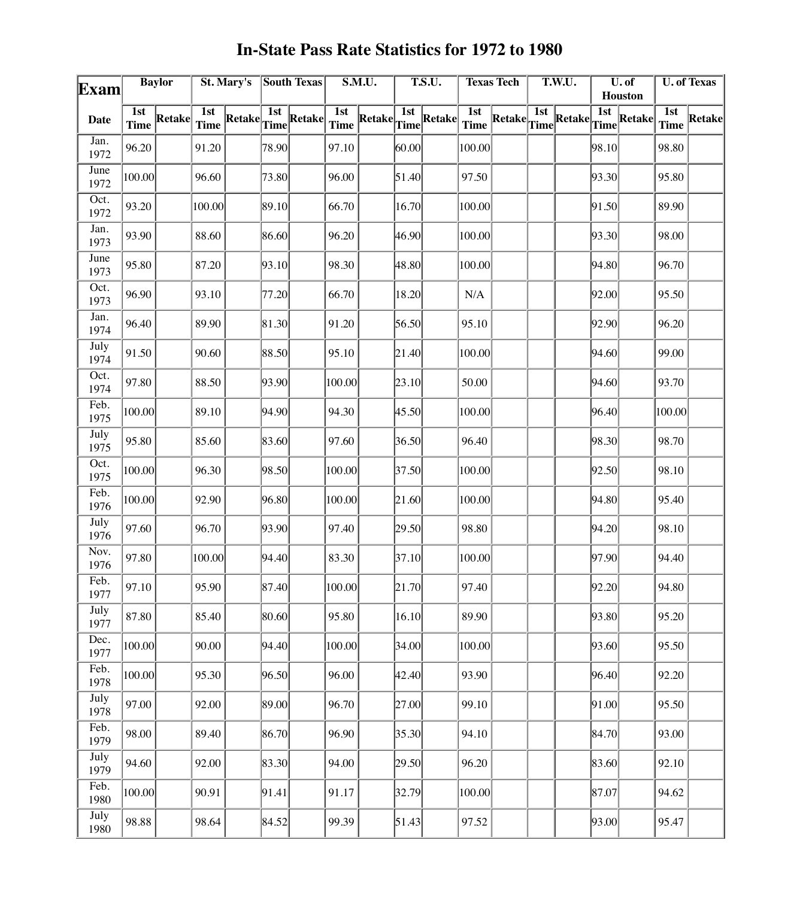| Exam         |                    | <b>Baylor</b> |                    | St. Mary's |       | South Texas                                           |                    | S.M.U.        |       | <b>T.S.U.</b>                   |                    | <b>Texas Tech</b>                                                                                                                                   |     | T.W.U. |       | $\overline{\mathbf{U}.\mathbf{of}}$<br>Houston |                                 | <b>U. of Texas</b> |  |
|--------------|--------------------|---------------|--------------------|------------|-------|-------------------------------------------------------|--------------------|---------------|-------|---------------------------------|--------------------|-----------------------------------------------------------------------------------------------------------------------------------------------------|-----|--------|-------|------------------------------------------------|---------------------------------|--------------------|--|
| <b>Date</b>  | 1st<br><b>Time</b> | <b>Retake</b> | 1st<br><b>Time</b> | Retake     |       | $\boxed{\frac{\text{1st}}{\text{Time}}\text{Retake}}$ | 1st<br><b>Time</b> | <b>Retake</b> |       | $\overline{\text{Time}}$ Retake | 1st<br><b>Time</b> | $\left \text{Retake}\right \hspace{-0.3em}\int^{\hspace{-0.3em}{\text{1st}}}_{\text{Time}}\hspace{-0.3em}\left \hspace{-0.3em}\text{Retake}\right $ | 1st |        |       | $\sqrt{\frac{1st}{Time}}$ Retake               | $\overline{1st}$<br><b>Time</b> | Retake             |  |
| Jan.<br>1972 | 96.20              |               | 91.20              |            | 78.90 |                                                       | 97.10              |               | 00.00 |                                 | 100.00             |                                                                                                                                                     |     |        | 98.10 |                                                | 98.80                           |                    |  |
| June<br>1972 | 100.00             |               | 96.60              |            | 73.80 |                                                       | 96.00              |               | 51.40 |                                 | 97.50              |                                                                                                                                                     |     |        | 93.30 |                                                | 95.80                           |                    |  |
| Oct.<br>1972 | 93.20              |               | 100.00             |            | 89.10 |                                                       | 66.70              |               | 16.70 |                                 | 100.00             |                                                                                                                                                     |     |        | 91.50 |                                                | 89.90                           |                    |  |
| Jan.<br>1973 | 93.90              |               | 88.60              |            | 86.60 |                                                       | 96.20              |               | 46.90 |                                 | 100.00             |                                                                                                                                                     |     |        | 93.30 |                                                | 98.00                           |                    |  |
| June<br>1973 | 95.80              |               | 87.20              |            | 93.10 |                                                       | 98.30              |               | 48.80 |                                 | 100.00             |                                                                                                                                                     |     |        | 94.80 |                                                | 96.70                           |                    |  |
| Oct.<br>1973 | 96.90              |               | 93.10              |            | 77.20 |                                                       | 66.70              |               | 18.20 |                                 | $\rm N/A$          |                                                                                                                                                     |     |        | 92.00 |                                                | 95.50                           |                    |  |
| Jan.<br>1974 | 96.40              |               | 89.90              |            | 81.30 |                                                       | 91.20              |               | 56.50 |                                 | 95.10              |                                                                                                                                                     |     |        | 92.90 |                                                | 96.20                           |                    |  |
| July<br>1974 | 91.50              |               | 90.60              |            | 88.50 |                                                       | 95.10              |               | 21.40 |                                 | 100.00             |                                                                                                                                                     |     |        | 94.60 |                                                | 99.00                           |                    |  |
| Oct.<br>1974 | 97.80              |               | $88.50\,$          |            | 93.90 |                                                       | 100.00             |               | 23.10 |                                 | 50.00              |                                                                                                                                                     |     |        | 94.60 |                                                | 93.70                           |                    |  |
| Feb.<br>1975 | 100.00             |               | 89.10              |            | 94.90 |                                                       | 94.30              |               | 45.50 |                                 | 100.00             |                                                                                                                                                     |     |        | 96.40 |                                                | 100.00                          |                    |  |
| July<br>1975 | 95.80              |               | 85.60              |            | 83.60 |                                                       | 97.60              |               | 36.50 |                                 | 96.40              |                                                                                                                                                     |     |        | 98.30 |                                                | 98.70                           |                    |  |
| Oct.<br>1975 | 100.00             |               | 96.30              |            | 98.50 |                                                       | 100.00             |               | 37.50 |                                 | 100.00             |                                                                                                                                                     |     |        | 92.50 |                                                | 98.10                           |                    |  |
| Feb.<br>1976 | 100.00             |               | 92.90              |            | 96.80 |                                                       | 100.00             |               | 21.60 |                                 | 100.00             |                                                                                                                                                     |     |        | 94.80 |                                                | 95.40                           |                    |  |
| July<br>1976 | 97.60              |               | 96.70              |            | 93.90 |                                                       | 97.40              |               | 29.50 |                                 | 98.80              |                                                                                                                                                     |     |        | 94.20 |                                                | 98.10                           |                    |  |
| Nov.<br>1976 | 97.80              |               | 100.00             |            | 94.40 |                                                       | 83.30              |               | 37.10 |                                 | 100.00             |                                                                                                                                                     |     |        | 97.90 |                                                | 94.40                           |                    |  |
| Feb.<br>1977 | 97.10              |               | 95.90              |            | 87.40 |                                                       | 100.00             |               | 21.70 |                                 | 97.40              |                                                                                                                                                     |     |        | 92.20 |                                                | 94.80                           |                    |  |
| July<br>1977 | 87.80              |               | 85.40              |            | 80.60 |                                                       | 95.80              |               | 16.10 |                                 | 89.90              |                                                                                                                                                     |     |        | 93.80 |                                                | 95.20                           |                    |  |
| Dec.<br>1977 | 100.00             |               | 90.00              |            | 94.40 |                                                       | 100.00             |               | 34.00 |                                 | 100.00             |                                                                                                                                                     |     |        | 93.60 |                                                | 95.50                           |                    |  |
| Feb.<br>1978 | 100.00             |               | 95.30              |            | 96.50 |                                                       | 96.00              |               | 42.40 |                                 | 93.90              |                                                                                                                                                     |     |        | 96.40 |                                                | 92.20                           |                    |  |
| July<br>1978 | 97.00              |               | 92.00              |            | 89.00 |                                                       | 96.70              |               | 27.00 |                                 | 99.10              |                                                                                                                                                     |     |        | 91.00 |                                                | 95.50                           |                    |  |
| Feb.<br>1979 | 98.00              |               | 89.40              |            | 86.70 |                                                       | 96.90              |               | 35.30 |                                 | 94.10              |                                                                                                                                                     |     |        | 84.70 |                                                | 93.00                           |                    |  |
| July<br>1979 | 94.60              |               | 92.00              |            | 83.30 |                                                       | 94.00              |               | 29.50 |                                 | 96.20              |                                                                                                                                                     |     |        | 83.60 |                                                | 92.10                           |                    |  |
| Feb.<br>1980 | 100.00             |               | 90.91              |            | 91.41 |                                                       | 91.17              |               | 32.79 |                                 | 100.00             |                                                                                                                                                     |     |        | 87.07 |                                                | 94.62                           |                    |  |
| July<br>1980 | 98.88              |               | 98.64              |            | 84.52 |                                                       | 99.39              |               | 51.43 |                                 | 97.52              |                                                                                                                                                     |     |        | 93.00 |                                                | 95.47                           |                    |  |

## **In-State Pass Rate Statistics for 1972 to 1980**